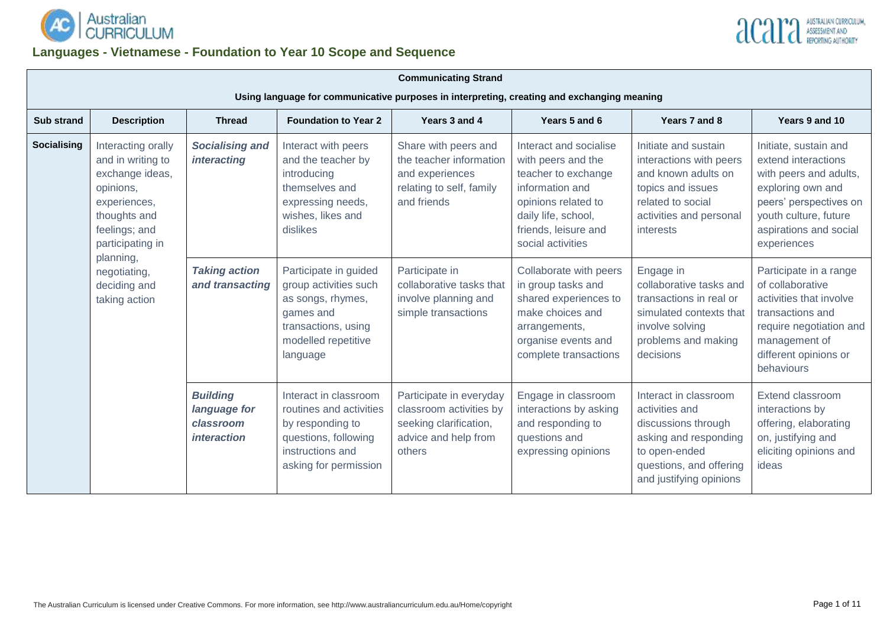



# **Languages - Vietnamese - Foundation to Year 10 Scope and Sequence**

|                                                                                                                                                                                                                                  | <b>Communicating Strand</b>                                                                |                                                                    |                                                                                                                                            |                                                                                                                |                                                                                                                                                                                   |                                                                                                                                                                |                                                                                                                                                                                         |  |  |  |
|----------------------------------------------------------------------------------------------------------------------------------------------------------------------------------------------------------------------------------|--------------------------------------------------------------------------------------------|--------------------------------------------------------------------|--------------------------------------------------------------------------------------------------------------------------------------------|----------------------------------------------------------------------------------------------------------------|-----------------------------------------------------------------------------------------------------------------------------------------------------------------------------------|----------------------------------------------------------------------------------------------------------------------------------------------------------------|-----------------------------------------------------------------------------------------------------------------------------------------------------------------------------------------|--|--|--|
|                                                                                                                                                                                                                                  | Using language for communicative purposes in interpreting, creating and exchanging meaning |                                                                    |                                                                                                                                            |                                                                                                                |                                                                                                                                                                                   |                                                                                                                                                                |                                                                                                                                                                                         |  |  |  |
| <b>Sub strand</b>                                                                                                                                                                                                                | <b>Description</b>                                                                         | <b>Thread</b>                                                      | <b>Foundation to Year 2</b>                                                                                                                | Years 3 and 4                                                                                                  | Years 5 and 6                                                                                                                                                                     | Years 7 and 8                                                                                                                                                  | Years 9 and 10                                                                                                                                                                          |  |  |  |
| <b>Socialising</b><br>Interacting orally<br>and in writing to<br>exchange ideas,<br>opinions,<br>experiences,<br>thoughts and<br>feelings; and<br>participating in<br>planning,<br>negotiating,<br>deciding and<br>taking action |                                                                                            | <b>Socialising and</b><br><i>interacting</i>                       | Interact with peers<br>and the teacher by<br>introducing<br>themselves and<br>expressing needs,<br>wishes, likes and<br>dislikes           | Share with peers and<br>the teacher information<br>and experiences<br>relating to self, family<br>and friends  | Interact and socialise<br>with peers and the<br>teacher to exchange<br>information and<br>opinions related to<br>daily life, school,<br>friends, leisure and<br>social activities | Initiate and sustain<br>interactions with peers<br>and known adults on<br>topics and issues<br>related to social<br>activities and personal<br>interests       | Initiate, sustain and<br>extend interactions<br>with peers and adults,<br>exploring own and<br>peers' perspectives on<br>youth culture, future<br>aspirations and social<br>experiences |  |  |  |
|                                                                                                                                                                                                                                  |                                                                                            | <b>Taking action</b><br>and transacting                            | Participate in guided<br>group activities such<br>as songs, rhymes,<br>games and<br>transactions, using<br>modelled repetitive<br>language | Participate in<br>collaborative tasks that<br>involve planning and<br>simple transactions                      | Collaborate with peers<br>in group tasks and<br>shared experiences to<br>make choices and<br>arrangements,<br>organise events and<br>complete transactions                        | Engage in<br>collaborative tasks and<br>transactions in real or<br>simulated contexts that<br>involve solving<br>problems and making<br>decisions              | Participate in a range<br>of collaborative<br>activities that involve<br>transactions and<br>require negotiation and<br>management of<br>different opinions or<br>behaviours            |  |  |  |
|                                                                                                                                                                                                                                  |                                                                                            | <b>Building</b><br>language for<br>classroom<br><i>interaction</i> | Interact in classroom<br>routines and activities<br>by responding to<br>questions, following<br>instructions and<br>asking for permission  | Participate in everyday<br>classroom activities by<br>seeking clarification,<br>advice and help from<br>others | Engage in classroom<br>interactions by asking<br>and responding to<br>questions and<br>expressing opinions                                                                        | Interact in classroom<br>activities and<br>discussions through<br>asking and responding<br>to open-ended<br>questions, and offering<br>and justifying opinions | Extend classroom<br>interactions by<br>offering, elaborating<br>on, justifying and<br>eliciting opinions and<br>ideas                                                                   |  |  |  |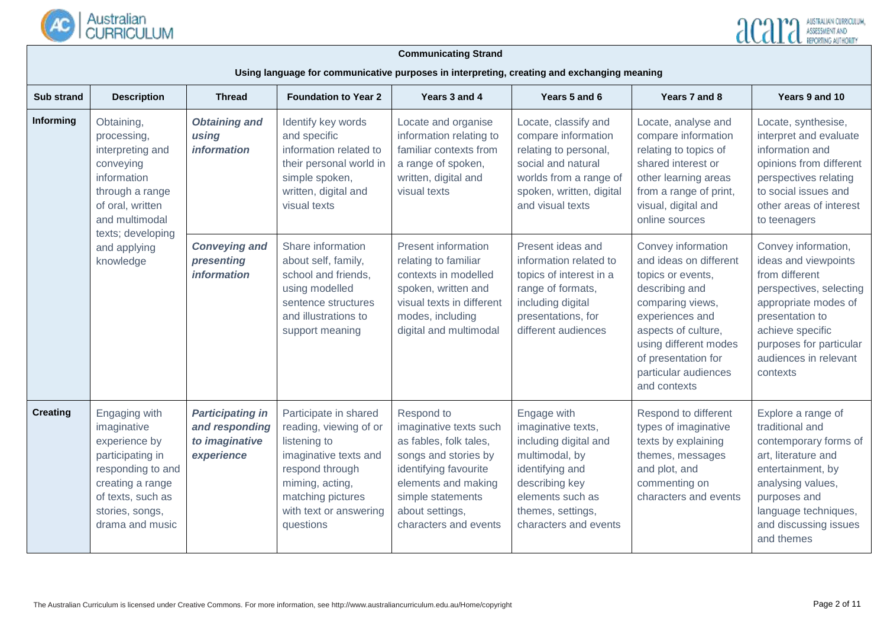

| <b>Sub strand</b> | <b>Description</b>                                                                                                                                                    | <b>Foundation to Year 2</b><br><b>Thread</b>                              |                                                                                                                                                                                            | Years 3 and 4                                                                                                                                                                                           | Years 5 and 6                                                                                                                                                                       | Years 7 and 8                                                                                                                                                                                                                             | Years 9 and 10                                                                                                                                                                                                          |
|-------------------|-----------------------------------------------------------------------------------------------------------------------------------------------------------------------|---------------------------------------------------------------------------|--------------------------------------------------------------------------------------------------------------------------------------------------------------------------------------------|---------------------------------------------------------------------------------------------------------------------------------------------------------------------------------------------------------|-------------------------------------------------------------------------------------------------------------------------------------------------------------------------------------|-------------------------------------------------------------------------------------------------------------------------------------------------------------------------------------------------------------------------------------------|-------------------------------------------------------------------------------------------------------------------------------------------------------------------------------------------------------------------------|
| Informing         | Obtaining,<br>processing,<br>interpreting and<br>conveying<br>information<br>through a range<br>of oral, written<br>and multimodal                                    | <b>Obtaining and</b><br>using<br><i>information</i>                       | Identify key words<br>and specific<br>information related to<br>their personal world in<br>simple spoken,<br>written, digital and<br>visual texts                                          | Locate and organise<br>information relating to<br>familiar contexts from<br>a range of spoken,<br>written, digital and<br>visual texts                                                                  | Locate, classify and<br>compare information<br>relating to personal,<br>social and natural<br>worlds from a range of<br>spoken, written, digital<br>and visual texts                | Locate, analyse and<br>compare information<br>relating to topics of<br>shared interest or<br>other learning areas<br>from a range of print,<br>visual, digital and<br>online sources                                                      | Locate, synthesise,<br>interpret and evaluate<br>information and<br>opinions from different<br>perspectives relating<br>to social issues and<br>other areas of interest<br>to teenagers                                 |
|                   | texts; developing<br>and applying<br>knowledge                                                                                                                        | <b>Conveying and</b><br>presenting<br><i>information</i>                  | Share information<br>about self, family,<br>school and friends,<br>using modelled<br>sentence structures<br>and illustrations to<br>support meaning                                        | <b>Present information</b><br>relating to familiar<br>contexts in modelled<br>spoken, written and<br>visual texts in different<br>modes, including<br>digital and multimodal                            | Present ideas and<br>information related to<br>topics of interest in a<br>range of formats,<br>including digital<br>presentations, for<br>different audiences                       | Convey information<br>and ideas on different<br>topics or events,<br>describing and<br>comparing views,<br>experiences and<br>aspects of culture,<br>using different modes<br>of presentation for<br>particular audiences<br>and contexts | Convey information,<br>ideas and viewpoints<br>from different<br>perspectives, selecting<br>appropriate modes of<br>presentation to<br>achieve specific<br>purposes for particular<br>audiences in relevant<br>contexts |
| <b>Creating</b>   | Engaging with<br>imaginative<br>experience by<br>participating in<br>responding to and<br>creating a range<br>of texts, such as<br>stories, songs,<br>drama and music | <b>Participating in</b><br>and responding<br>to imaginative<br>experience | Participate in shared<br>reading, viewing of or<br>listening to<br>imaginative texts and<br>respond through<br>miming, acting,<br>matching pictures<br>with text or answering<br>questions | Respond to<br>imaginative texts such<br>as fables, folk tales,<br>songs and stories by<br>identifying favourite<br>elements and making<br>simple statements<br>about settings,<br>characters and events | Engage with<br>imaginative texts,<br>including digital and<br>multimodal, by<br>identifying and<br>describing key<br>elements such as<br>themes, settings,<br>characters and events | Respond to different<br>types of imaginative<br>texts by explaining<br>themes, messages<br>and plot, and<br>commenting on<br>characters and events                                                                                        | Explore a range of<br>traditional and<br>contemporary forms of<br>art, literature and<br>entertainment, by<br>analysing values,<br>purposes and<br>language techniques,<br>and discussing issues<br>and themes          |

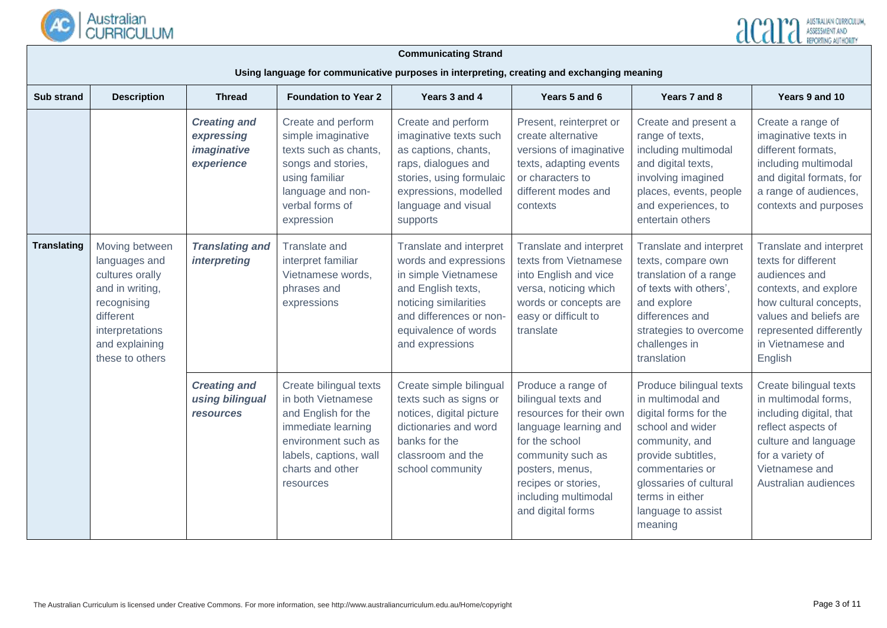

| <b>Sub strand</b>  | <b>Description</b>                                                                                                                                        | <b>Thread</b>                                                  | <b>Foundation to Year 2</b>                                                                                                                                                 |                                                                                                                                                                                               | Years 5 and 6                                                                                                                                                                                                               | Years 7 and 8                                                                                                                                                                                                                      | Years 9 and 10                                                                                                                                                                                          |
|--------------------|-----------------------------------------------------------------------------------------------------------------------------------------------------------|----------------------------------------------------------------|-----------------------------------------------------------------------------------------------------------------------------------------------------------------------------|-----------------------------------------------------------------------------------------------------------------------------------------------------------------------------------------------|-----------------------------------------------------------------------------------------------------------------------------------------------------------------------------------------------------------------------------|------------------------------------------------------------------------------------------------------------------------------------------------------------------------------------------------------------------------------------|---------------------------------------------------------------------------------------------------------------------------------------------------------------------------------------------------------|
|                    |                                                                                                                                                           | <b>Creating and</b><br>expressing<br>imaginative<br>experience | Create and perform<br>simple imaginative<br>texts such as chants,<br>songs and stories,<br>using familiar<br>language and non-<br>verbal forms of<br>expression             | Create and perform<br>imaginative texts such<br>as captions, chants,<br>raps, dialogues and<br>stories, using formulaic<br>expressions, modelled<br>language and visual<br>supports           | Present, reinterpret or<br>create alternative<br>versions of imaginative<br>texts, adapting events<br>or characters to<br>different modes and<br>contexts                                                                   | Create and present a<br>range of texts,<br>including multimodal<br>and digital texts,<br>involving imagined<br>places, events, people<br>and experiences, to<br>entertain others                                                   | Create a range of<br>imaginative texts in<br>different formats,<br>including multimodal<br>and digital formats, for<br>a range of audiences,<br>contexts and purposes                                   |
| <b>Translating</b> | Moving between<br>languages and<br>cultures orally<br>and in writing,<br>recognising<br>different<br>interpretations<br>and explaining<br>these to others | <b>Translating and</b><br><i>interpreting</i>                  | <b>Translate and</b><br>interpret familiar<br>Vietnamese words,<br>phrases and<br>expressions                                                                               | Translate and interpret<br>words and expressions<br>in simple Vietnamese<br>and English texts,<br>noticing similarities<br>and differences or non-<br>equivalence of words<br>and expressions | Translate and interpret<br>texts from Vietnamese<br>into English and vice<br>versa, noticing which<br>words or concepts are<br>easy or difficult to<br>translate                                                            | Translate and interpret<br>texts, compare own<br>translation of a range<br>of texts with others',<br>and explore<br>differences and<br>strategies to overcome<br>challenges in<br>translation                                      | Translate and interpret<br>texts for different<br>audiences and<br>contexts, and explore<br>how cultural concepts,<br>values and beliefs are<br>represented differently<br>in Vietnamese and<br>English |
|                    |                                                                                                                                                           | <b>Creating and</b><br>using bilingual<br><b>resources</b>     | Create bilingual texts<br>in both Vietnamese<br>and English for the<br>immediate learning<br>environment such as<br>labels, captions, wall<br>charts and other<br>resources | Create simple bilingual<br>texts such as signs or<br>notices, digital picture<br>dictionaries and word<br>banks for the<br>classroom and the<br>school community                              | Produce a range of<br>bilingual texts and<br>resources for their own<br>language learning and<br>for the school<br>community such as<br>posters, menus,<br>recipes or stories,<br>including multimodal<br>and digital forms | Produce bilingual texts<br>in multimodal and<br>digital forms for the<br>school and wider<br>community, and<br>provide subtitles,<br>commentaries or<br>glossaries of cultural<br>terms in either<br>language to assist<br>meaning | Create bilingual texts<br>in multimodal forms,<br>including digital, that<br>reflect aspects of<br>culture and language<br>for a variety of<br>Vietnamese and<br>Australian audiences                   |

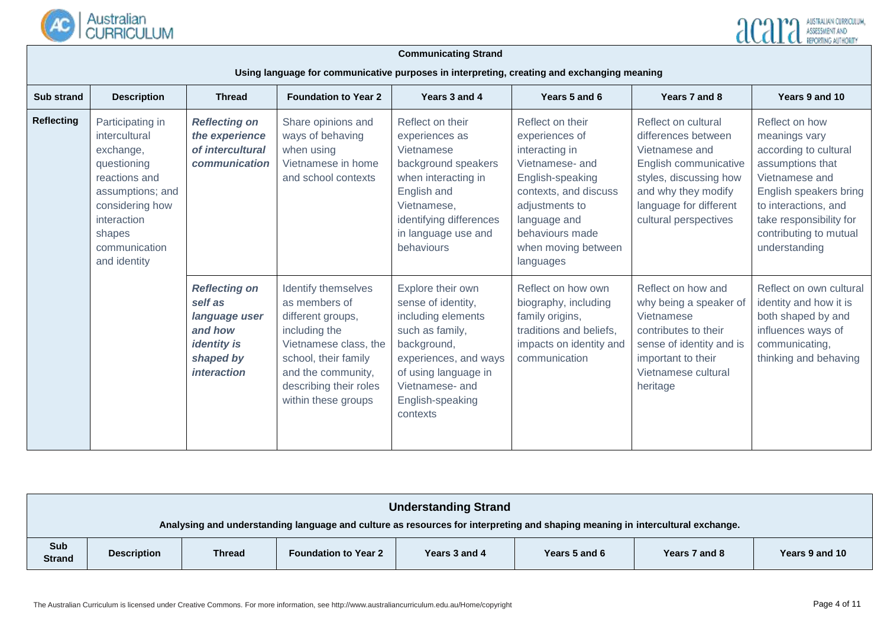

| <b>Sub strand</b> | <b>Description</b>                                                                                                                                                              | <b>Thread</b>                                                                                                        | <b>Foundation to Year 2</b>                                                                                                                                                                        | Years 3 and 4                                                                                                                                                                                       | Years 5 and 6                                                                                                                                                                                                 | Years 7 and 8                                                                                                                                                                             | Years 9 and 10                                                                                                                                                                                                         |
|-------------------|---------------------------------------------------------------------------------------------------------------------------------------------------------------------------------|----------------------------------------------------------------------------------------------------------------------|----------------------------------------------------------------------------------------------------------------------------------------------------------------------------------------------------|-----------------------------------------------------------------------------------------------------------------------------------------------------------------------------------------------------|---------------------------------------------------------------------------------------------------------------------------------------------------------------------------------------------------------------|-------------------------------------------------------------------------------------------------------------------------------------------------------------------------------------------|------------------------------------------------------------------------------------------------------------------------------------------------------------------------------------------------------------------------|
| <b>Reflecting</b> | Participating in<br>intercultural<br>exchange,<br>questioning<br>reactions and<br>assumptions; and<br>considering how<br>interaction<br>shapes<br>communication<br>and identity | <b>Reflecting on</b><br>the experience<br>of intercultural<br>communication                                          | Share opinions and<br>ways of behaving<br>when using<br>Vietnamese in home<br>and school contexts                                                                                                  | Reflect on their<br>experiences as<br>Vietnamese<br>background speakers<br>when interacting in<br>English and<br>Vietnamese,<br>identifying differences<br>in language use and<br>behaviours        | Reflect on their<br>experiences of<br>interacting in<br>Vietnamese- and<br>English-speaking<br>contexts, and discuss<br>adjustments to<br>language and<br>behaviours made<br>when moving between<br>languages | Reflect on cultural<br>differences between<br>Vietnamese and<br>English communicative<br>styles, discussing how<br>and why they modify<br>language for different<br>cultural perspectives | Reflect on how<br>meanings vary<br>according to cultural<br>assumptions that<br>Vietnamese and<br>English speakers bring<br>to interactions, and<br>take responsibility for<br>contributing to mutual<br>understanding |
|                   |                                                                                                                                                                                 | <b>Reflecting on</b><br>self as<br>language user<br>and how<br><i>identity is</i><br>shaped by<br><i>interaction</i> | Identify themselves<br>as members of<br>different groups,<br>including the<br>Vietnamese class, the<br>school, their family<br>and the community,<br>describing their roles<br>within these groups | Explore their own<br>sense of identity,<br>including elements<br>such as family,<br>background,<br>experiences, and ways<br>of using language in<br>Vietnamese- and<br>English-speaking<br>contexts | Reflect on how own<br>biography, including<br>family origins,<br>traditions and beliefs,<br>impacts on identity and<br>communication                                                                          | Reflect on how and<br>why being a speaker of<br>Vietnamese<br>contributes to their<br>sense of identity and is<br>important to their<br>Vietnamese cultural<br>heritage                   | Reflect on own cultural<br>identity and how it is<br>both shaped by and<br>influences ways of<br>communicating,<br>thinking and behaving                                                                               |

| <b>Understanding Strand</b>                                                                                                                                     |  |  |  |  |  |  |  |
|-----------------------------------------------------------------------------------------------------------------------------------------------------------------|--|--|--|--|--|--|--|
| Analysing and understanding language and culture as resources for interpreting and shaping meaning in intercultural exchange.                                   |  |  |  |  |  |  |  |
| Sub<br><b>Foundation to Year 2</b><br>Years 9 and 10<br><b>Thread</b><br>Years 3 and 4<br>Years 5 and 6<br>Years 7 and 8<br><b>Description</b><br><b>Strand</b> |  |  |  |  |  |  |  |

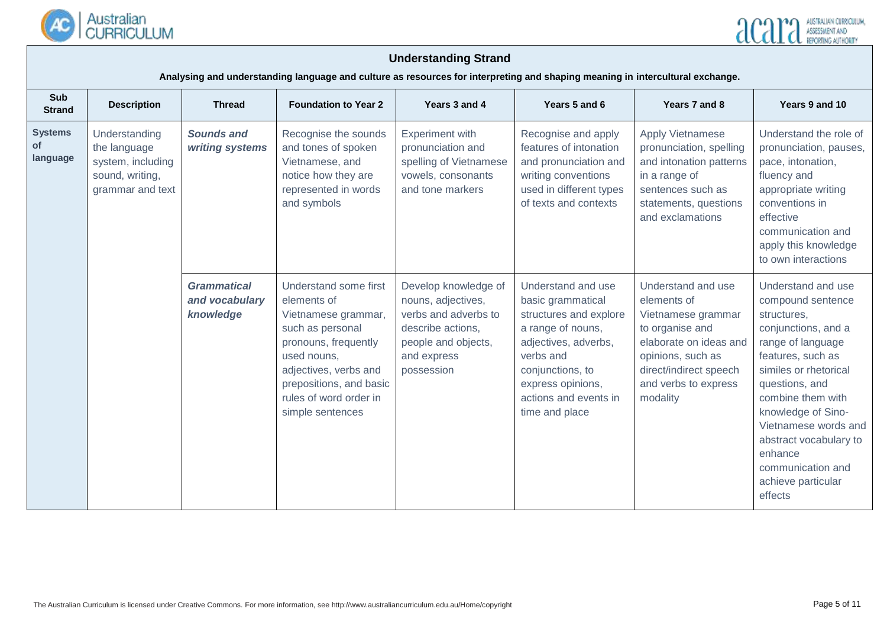



**Analysing and understanding language and culture as resources for interpreting and shaping meaning in intercultural exchange.**

| Sub<br><b>Strand</b>             | <b>Description</b>                                                                        | <b>Thread</b>                                     | <b>Foundation to Year 2</b>                                                                                                                                                                                              | Years 3 and 4                                                                                                                               | Years 5 and 6                                                                                                                                                                                                   | Years 7 and 8                                                                                                                                                                           | Years 9 and 10                                                                                                                                                                                                                                                                                                                   |
|----------------------------------|-------------------------------------------------------------------------------------------|---------------------------------------------------|--------------------------------------------------------------------------------------------------------------------------------------------------------------------------------------------------------------------------|---------------------------------------------------------------------------------------------------------------------------------------------|-----------------------------------------------------------------------------------------------------------------------------------------------------------------------------------------------------------------|-----------------------------------------------------------------------------------------------------------------------------------------------------------------------------------------|----------------------------------------------------------------------------------------------------------------------------------------------------------------------------------------------------------------------------------------------------------------------------------------------------------------------------------|
| <b>Systems</b><br>οf<br>language | Understanding<br>the language<br>system, including<br>sound, writing,<br>grammar and text | <b>Sounds and</b><br>writing systems              | Recognise the sounds<br>and tones of spoken<br>Vietnamese, and<br>notice how they are<br>represented in words<br>and symbols                                                                                             | <b>Experiment with</b><br>pronunciation and<br>spelling of Vietnamese<br>vowels, consonants<br>and tone markers                             | Recognise and apply<br>features of intonation<br>and pronunciation and<br>writing conventions<br>used in different types<br>of texts and contexts                                                               | <b>Apply Vietnamese</b><br>pronunciation, spelling<br>and intonation patterns<br>in a range of<br>sentences such as<br>statements, questions<br>and exclamations                        | Understand the role of<br>pronunciation, pauses,<br>pace, intonation,<br>fluency and<br>appropriate writing<br>conventions in<br>effective<br>communication and<br>apply this knowledge<br>to own interactions                                                                                                                   |
|                                  |                                                                                           | <b>Grammatical</b><br>and vocabulary<br>knowledge | Understand some first<br>elements of<br>Vietnamese grammar,<br>such as personal<br>pronouns, frequently<br>used nouns,<br>adjectives, verbs and<br>prepositions, and basic<br>rules of word order in<br>simple sentences | Develop knowledge of<br>nouns, adjectives,<br>verbs and adverbs to<br>describe actions,<br>people and objects,<br>and express<br>possession | Understand and use<br>basic grammatical<br>structures and explore<br>a range of nouns,<br>adjectives, adverbs,<br>verbs and<br>conjunctions, to<br>express opinions,<br>actions and events in<br>time and place | Understand and use<br>elements of<br>Vietnamese grammar<br>to organise and<br>elaborate on ideas and<br>opinions, such as<br>direct/indirect speech<br>and verbs to express<br>modality | Understand and use<br>compound sentence<br>structures,<br>conjunctions, and a<br>range of language<br>features, such as<br>similes or rhetorical<br>questions, and<br>combine them with<br>knowledge of Sino-<br>Vietnamese words and<br>abstract vocabulary to<br>enhance<br>communication and<br>achieve particular<br>effects |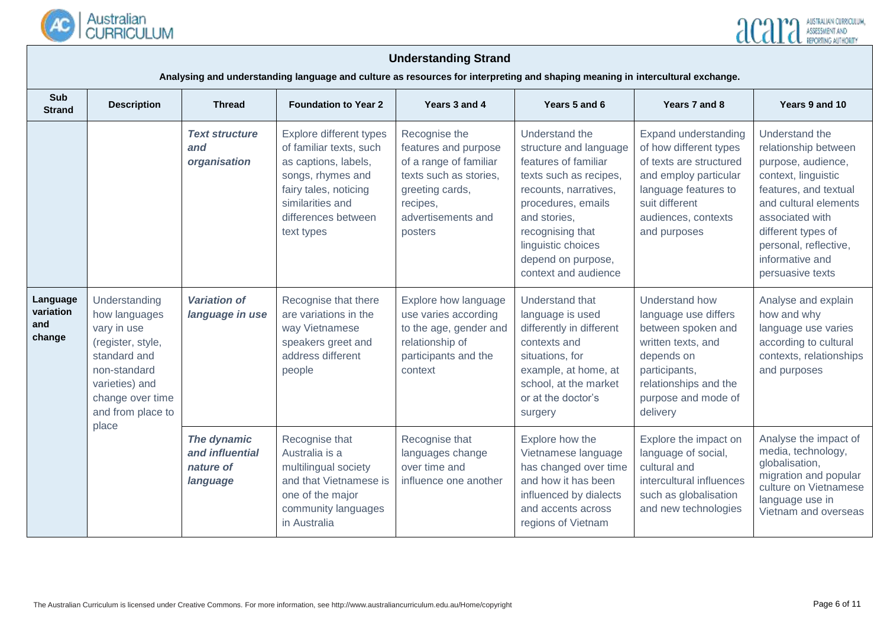



**Analysing and understanding language and culture as resources for interpreting and shaping meaning in intercultural exchange.**

| <b>Sub</b><br><b>Strand</b>            | <b>Description</b>                                                                                                                                            | <b>Foundation to Year 2</b><br><b>Thread</b>            |                                                                                                                                                                                   | Years 3 and 4                                                                                                                                             | Years 5 and 6                                                                                                                                                                                                                                     | Years 7 and 8                                                                                                                                                                        | Years 9 and 10                                                                                                                                                                                                                                 |
|----------------------------------------|---------------------------------------------------------------------------------------------------------------------------------------------------------------|---------------------------------------------------------|-----------------------------------------------------------------------------------------------------------------------------------------------------------------------------------|-----------------------------------------------------------------------------------------------------------------------------------------------------------|---------------------------------------------------------------------------------------------------------------------------------------------------------------------------------------------------------------------------------------------------|--------------------------------------------------------------------------------------------------------------------------------------------------------------------------------------|------------------------------------------------------------------------------------------------------------------------------------------------------------------------------------------------------------------------------------------------|
|                                        |                                                                                                                                                               | <b>Text structure</b><br>and<br>organisation            | Explore different types<br>of familiar texts, such<br>as captions, labels,<br>songs, rhymes and<br>fairy tales, noticing<br>similarities and<br>differences between<br>text types | Recognise the<br>features and purpose<br>of a range of familiar<br>texts such as stories,<br>greeting cards,<br>recipes,<br>advertisements and<br>posters | Understand the<br>structure and language<br>features of familiar<br>texts such as recipes,<br>recounts, narratives,<br>procedures, emails<br>and stories.<br>recognising that<br>linguistic choices<br>depend on purpose,<br>context and audience | Expand understanding<br>of how different types<br>of texts are structured<br>and employ particular<br>language features to<br>suit different<br>audiences, contexts<br>and purposes  | Understand the<br>relationship between<br>purpose, audience,<br>context, linguistic<br>features, and textual<br>and cultural elements<br>associated with<br>different types of<br>personal, reflective,<br>informative and<br>persuasive texts |
| Language<br>variation<br>and<br>change | Understanding<br>how languages<br>vary in use<br>(register, style,<br>standard and<br>non-standard<br>varieties) and<br>change over time<br>and from place to | <b>Variation of</b><br>language in use                  | Recognise that there<br>are variations in the<br>way Vietnamese<br>speakers greet and<br>address different<br>people                                                              | Explore how language<br>use varies according<br>to the age, gender and<br>relationship of<br>participants and the<br>context                              | Understand that<br>language is used<br>differently in different<br>contexts and<br>situations, for<br>example, at home, at<br>school, at the market<br>or at the doctor's<br>surgery                                                              | <b>Understand how</b><br>language use differs<br>between spoken and<br>written texts, and<br>depends on<br>participants,<br>relationships and the<br>purpose and mode of<br>delivery | Analyse and explain<br>how and why<br>language use varies<br>according to cultural<br>contexts, relationships<br>and purposes                                                                                                                  |
|                                        | place                                                                                                                                                         | The dynamic<br>and influential<br>nature of<br>language | Recognise that<br>Australia is a<br>multilingual society<br>and that Vietnamese is<br>one of the major<br>community languages<br>in Australia                                     | Recognise that<br>languages change<br>over time and<br>influence one another                                                                              | Explore how the<br>Vietnamese language<br>has changed over time<br>and how it has been<br>influenced by dialects<br>and accents across<br>regions of Vietnam                                                                                      | Explore the impact on<br>language of social,<br>cultural and<br>intercultural influences<br>such as globalisation<br>and new technologies                                            | Analyse the impact of<br>media, technology,<br>globalisation,<br>migration and popular<br>culture on Vietnamese<br>language use in<br>Vietnam and overseas                                                                                     |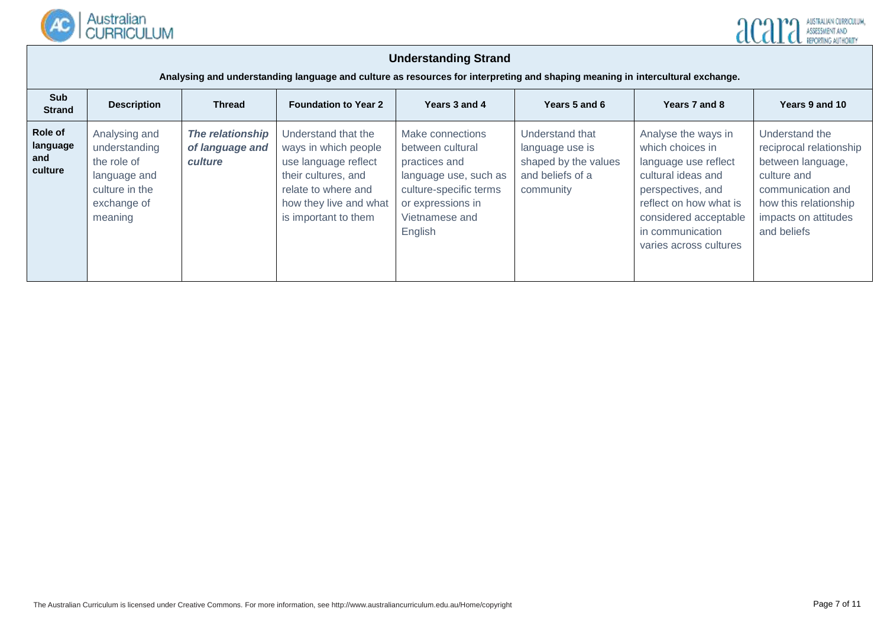



**Analysing and understanding language and culture as resources for interpreting and shaping meaning in intercultural exchange.**

| Sub<br><b>Strand</b>                  | <b>Description</b>                                                                                        | <b>Thread</b>                                  | <b>Foundation to Year 2</b>                                                                                                                                         | Years 3 and 4                                                                                                                                              | Years 5 and 6                                                                               | Years 7 and 8                                                                                                                                                                                               | Years 9 and 10                                                                                                                                                     |
|---------------------------------------|-----------------------------------------------------------------------------------------------------------|------------------------------------------------|---------------------------------------------------------------------------------------------------------------------------------------------------------------------|------------------------------------------------------------------------------------------------------------------------------------------------------------|---------------------------------------------------------------------------------------------|-------------------------------------------------------------------------------------------------------------------------------------------------------------------------------------------------------------|--------------------------------------------------------------------------------------------------------------------------------------------------------------------|
| Role of<br>language<br>and<br>culture | Analysing and<br>understanding<br>the role of<br>language and<br>culture in the<br>exchange of<br>meaning | The relationship<br>of language and<br>culture | Understand that the<br>ways in which people<br>use language reflect<br>their cultures, and<br>relate to where and<br>how they live and what<br>is important to them | Make connections<br>between cultural<br>practices and<br>language use, such as<br>culture-specific terms<br>or expressions in<br>Vietnamese and<br>English | Understand that<br>language use is<br>shaped by the values<br>and beliefs of a<br>community | Analyse the ways in<br>which choices in<br>language use reflect<br>cultural ideas and<br>perspectives, and<br>reflect on how what is<br>considered acceptable<br>in communication<br>varies across cultures | Understand the<br>reciprocal relationship<br>between language,<br>culture and<br>communication and<br>how this relationship<br>impacts on attitudes<br>and beliefs |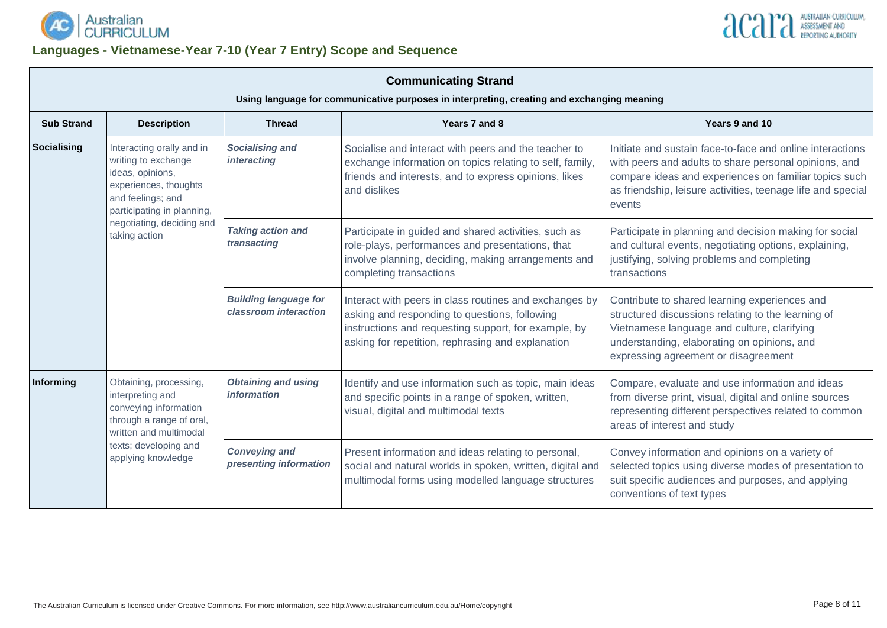

# **Languages - Vietnamese-Year 7-10 (Year 7 Entry) Scope and Sequence**



| <b>Communicating Strand</b><br>Using language for communicative purposes in interpreting, creating and exchanging meaning |                                                                                                                                                  |                                                       |                                                                                                                                                                                                                      |                                                                                                                                                                                                                                                      |  |  |  |  |  |
|---------------------------------------------------------------------------------------------------------------------------|--------------------------------------------------------------------------------------------------------------------------------------------------|-------------------------------------------------------|----------------------------------------------------------------------------------------------------------------------------------------------------------------------------------------------------------------------|------------------------------------------------------------------------------------------------------------------------------------------------------------------------------------------------------------------------------------------------------|--|--|--|--|--|
| <b>Sub Strand</b>                                                                                                         | <b>Description</b>                                                                                                                               | <b>Thread</b>                                         | Years 7 and 8                                                                                                                                                                                                        | Years 9 and 10                                                                                                                                                                                                                                       |  |  |  |  |  |
| Socialising                                                                                                               | Interacting orally and in<br>writing to exchange<br>ideas, opinions,<br>experiences, thoughts<br>and feelings; and<br>participating in planning, | <b>Socialising and</b><br><i>interacting</i>          | Socialise and interact with peers and the teacher to<br>exchange information on topics relating to self, family,<br>friends and interests, and to express opinions, likes<br>and dislikes                            | Initiate and sustain face-to-face and online interactions<br>with peers and adults to share personal opinions, and<br>compare ideas and experiences on familiar topics such<br>as friendship, leisure activities, teenage life and special<br>events |  |  |  |  |  |
| taking action                                                                                                             | negotiating, deciding and                                                                                                                        | <b>Taking action and</b><br>transacting               | Participate in guided and shared activities, such as<br>role-plays, performances and presentations, that<br>involve planning, deciding, making arrangements and<br>completing transactions                           | Participate in planning and decision making for social<br>and cultural events, negotiating options, explaining,<br>justifying, solving problems and completing<br>transactions                                                                       |  |  |  |  |  |
|                                                                                                                           |                                                                                                                                                  | <b>Building language for</b><br>classroom interaction | Interact with peers in class routines and exchanges by<br>asking and responding to questions, following<br>instructions and requesting support, for example, by<br>asking for repetition, rephrasing and explanation | Contribute to shared learning experiences and<br>structured discussions relating to the learning of<br>Vietnamese language and culture, clarifying<br>understanding, elaborating on opinions, and<br>expressing agreement or disagreement            |  |  |  |  |  |
| Informing                                                                                                                 | Obtaining, processing,<br>interpreting and<br>conveying information<br>through a range of oral,<br>written and multimodal                        | <b>Obtaining and using</b><br><i>information</i>      | Identify and use information such as topic, main ideas<br>and specific points in a range of spoken, written,<br>visual, digital and multimodal texts                                                                 | Compare, evaluate and use information and ideas<br>from diverse print, visual, digital and online sources<br>representing different perspectives related to common<br>areas of interest and study                                                    |  |  |  |  |  |
|                                                                                                                           | texts; developing and<br>applying knowledge                                                                                                      | <b>Conveying and</b><br>presenting information        | Present information and ideas relating to personal,<br>social and natural worlds in spoken, written, digital and<br>multimodal forms using modelled language structures                                              | Convey information and opinions on a variety of<br>selected topics using diverse modes of presentation to<br>suit specific audiences and purposes, and applying<br>conventions of text types                                                         |  |  |  |  |  |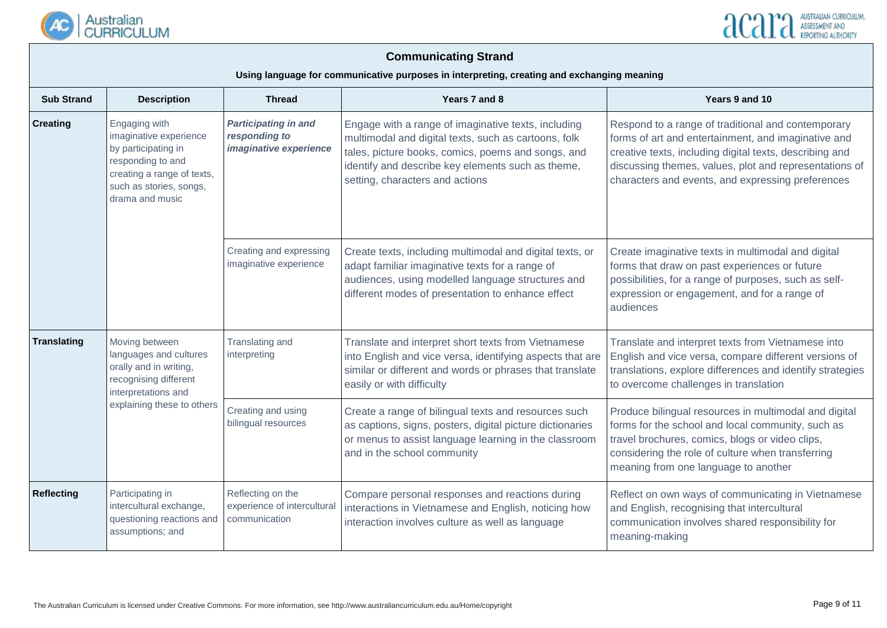



| <b>Sub Strand</b>                                                                                                                                                                  | <b>Description</b>                                                                                                 | <b>Thread</b>                                                          | Years 7 and 8                                                                                                                                                                                                                                             | Years 9 and 10                                                                                                                                                                                                                                                                      |
|------------------------------------------------------------------------------------------------------------------------------------------------------------------------------------|--------------------------------------------------------------------------------------------------------------------|------------------------------------------------------------------------|-----------------------------------------------------------------------------------------------------------------------------------------------------------------------------------------------------------------------------------------------------------|-------------------------------------------------------------------------------------------------------------------------------------------------------------------------------------------------------------------------------------------------------------------------------------|
| <b>Creating</b><br>Engaging with<br>imaginative experience<br>by participating in<br>responding to and<br>creating a range of texts,<br>such as stories, songs,<br>drama and music |                                                                                                                    | <b>Participating in and</b><br>responding to<br>imaginative experience | Engage with a range of imaginative texts, including<br>multimodal and digital texts, such as cartoons, folk<br>tales, picture books, comics, poems and songs, and<br>identify and describe key elements such as theme,<br>setting, characters and actions | Respond to a range of traditional and contemporary<br>forms of art and entertainment, and imaginative and<br>creative texts, including digital texts, describing and<br>discussing themes, values, plot and representations of<br>characters and events, and expressing preferences |
|                                                                                                                                                                                    |                                                                                                                    | Creating and expressing<br>imaginative experience                      | Create texts, including multimodal and digital texts, or<br>adapt familiar imaginative texts for a range of<br>audiences, using modelled language structures and<br>different modes of presentation to enhance effect                                     | Create imaginative texts in multimodal and digital<br>forms that draw on past experiences or future<br>possibilities, for a range of purposes, such as self-<br>expression or engagement, and for a range of<br>audiences                                                           |
| <b>Translating</b>                                                                                                                                                                 | Moving between<br>languages and cultures<br>orally and in writing,<br>recognising different<br>interpretations and | Translating and<br>interpreting                                        | Translate and interpret short texts from Vietnamese<br>into English and vice versa, identifying aspects that are<br>similar or different and words or phrases that translate<br>easily or with difficulty                                                 | Translate and interpret texts from Vietnamese into<br>English and vice versa, compare different versions of<br>translations, explore differences and identify strategies<br>to overcome challenges in translation                                                                   |
|                                                                                                                                                                                    | explaining these to others                                                                                         | Creating and using<br>bilingual resources                              | Create a range of bilingual texts and resources such<br>as captions, signs, posters, digital picture dictionaries<br>or menus to assist language learning in the classroom<br>and in the school community                                                 | Produce bilingual resources in multimodal and digital<br>forms for the school and local community, such as<br>travel brochures, comics, blogs or video clips,<br>considering the role of culture when transferring<br>meaning from one language to another                          |
| <b>Reflecting</b>                                                                                                                                                                  | Participating in<br>intercultural exchange,<br>questioning reactions and<br>assumptions; and                       | Reflecting on the<br>experience of intercultural<br>communication      | Compare personal responses and reactions during<br>interactions in Vietnamese and English, noticing how<br>interaction involves culture as well as language                                                                                               | Reflect on own ways of communicating in Vietnamese<br>and English, recognising that intercultural<br>communication involves shared responsibility for<br>meaning-making                                                                                                             |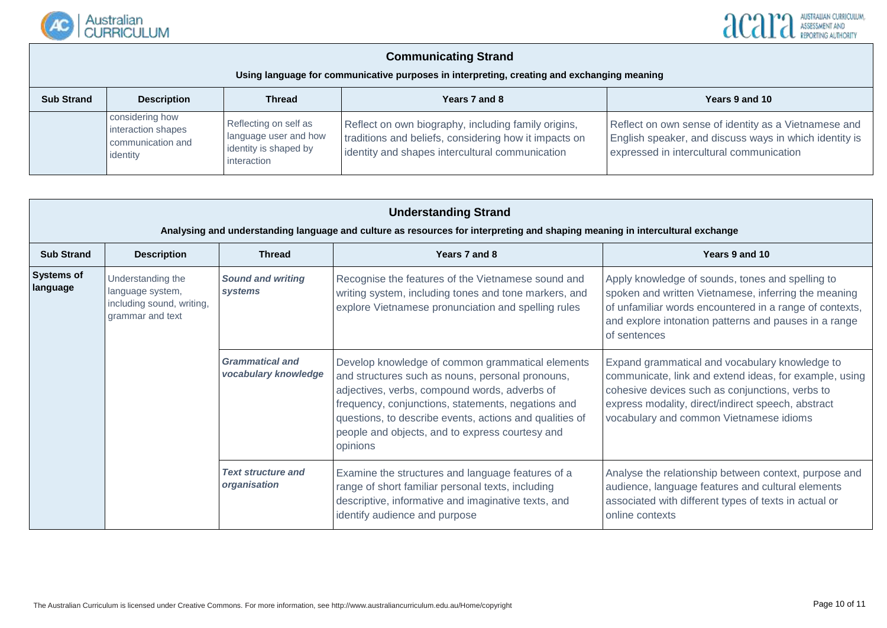



| <b>Sub Strand</b> | <b>Description</b>                                                     | <b>Thread</b>                                                                          | Years 7 and 8                                                                                                                                                   | Years 9 and 10                                                                                                                                             |
|-------------------|------------------------------------------------------------------------|----------------------------------------------------------------------------------------|-----------------------------------------------------------------------------------------------------------------------------------------------------------------|------------------------------------------------------------------------------------------------------------------------------------------------------------|
|                   | considering how<br>interaction shapes<br>communication and<br>identity | Reflecting on self as<br>language user and how<br>identity is shaped by<br>interaction | Reflect on own biography, including family origins,<br>traditions and beliefs, considering how it impacts on<br>identity and shapes intercultural communication | Reflect on own sense of identity as a Vietnamese and<br>English speaker, and discuss ways in which identity is<br>expressed in intercultural communication |

|                               | <b>Understanding Strand</b><br>Analysing and understanding language and culture as resources for interpreting and shaping meaning in intercultural exchange |                                                |                                                                                                                                                                                                                                                                                                                                       |                                                                                                                                                                                                                                                              |  |  |  |  |  |
|-------------------------------|-------------------------------------------------------------------------------------------------------------------------------------------------------------|------------------------------------------------|---------------------------------------------------------------------------------------------------------------------------------------------------------------------------------------------------------------------------------------------------------------------------------------------------------------------------------------|--------------------------------------------------------------------------------------------------------------------------------------------------------------------------------------------------------------------------------------------------------------|--|--|--|--|--|
| <b>Sub Strand</b>             | <b>Description</b>                                                                                                                                          | <b>Thread</b>                                  | Years 7 and 8                                                                                                                                                                                                                                                                                                                         | Years 9 and 10                                                                                                                                                                                                                                               |  |  |  |  |  |
| <b>Systems of</b><br>language | Understanding the<br>language system,<br>including sound, writing,<br>grammar and text                                                                      | <b>Sound and writing</b><br>systems            | Recognise the features of the Vietnamese sound and<br>writing system, including tones and tone markers, and<br>explore Vietnamese pronunciation and spelling rules                                                                                                                                                                    | Apply knowledge of sounds, tones and spelling to<br>spoken and written Vietnamese, inferring the meaning<br>of unfamiliar words encountered in a range of contexts,<br>and explore intonation patterns and pauses in a range<br>of sentences                 |  |  |  |  |  |
|                               |                                                                                                                                                             | <b>Grammatical and</b><br>vocabulary knowledge | Develop knowledge of common grammatical elements<br>and structures such as nouns, personal pronouns,<br>adjectives, verbs, compound words, adverbs of<br>frequency, conjunctions, statements, negations and<br>questions, to describe events, actions and qualities of<br>people and objects, and to express courtesy and<br>opinions | Expand grammatical and vocabulary knowledge to<br>communicate, link and extend ideas, for example, using<br>cohesive devices such as conjunctions, verbs to<br>express modality, direct/indirect speech, abstract<br>vocabulary and common Vietnamese idioms |  |  |  |  |  |
|                               |                                                                                                                                                             | <b>Text structure and</b><br>organisation      | Examine the structures and language features of a<br>range of short familiar personal texts, including<br>descriptive, informative and imaginative texts, and<br>identify audience and purpose                                                                                                                                        | Analyse the relationship between context, purpose and<br>audience, language features and cultural elements<br>associated with different types of texts in actual or<br>online contexts                                                                       |  |  |  |  |  |